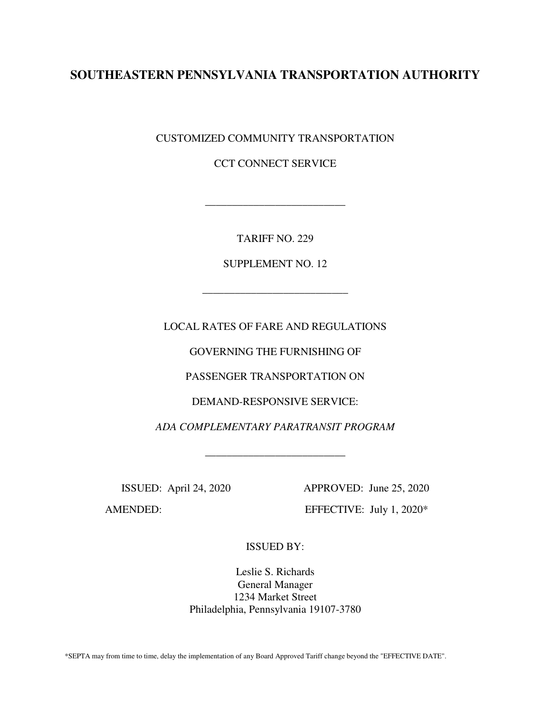# **SOUTHEASTERN PENNSYLVANIA TRANSPORTATION AUTHORITY**

CUSTOMIZED COMMUNITY TRANSPORTATION

CCT CONNECT SERVICE

TARIFF NO. 229

\_\_\_\_\_\_\_\_\_\_\_\_\_\_\_\_\_\_\_\_\_\_\_\_\_\_

SUPPLEMENT NO. 12

\_\_\_\_\_\_\_\_\_\_\_\_\_\_\_\_\_\_\_\_\_\_\_\_\_\_\_

LOCAL RATES OF FARE AND REGULATIONS

GOVERNING THE FURNISHING OF

PASSENGER TRANSPORTATION ON

DEMAND-RESPONSIVE SERVICE:

*ADA COMPLEMENTARY PARATRANSIT PROGRAM* 

\_\_\_\_\_\_\_\_\_\_\_\_\_\_\_\_\_\_\_\_\_\_\_\_\_\_

AMENDED: EFFECTIVE: July 1, 2020\*

ISSUED: April 24, 2020 APPROVED: June 25, 2020

ISSUED BY:

Leslie S. Richards General Manager 1234 Market Street Philadelphia, Pennsylvania 19107-3780

\*SEPTA may from time to time, delay the implementation of any Board Approved Tariff change beyond the "EFFECTIVE DATE".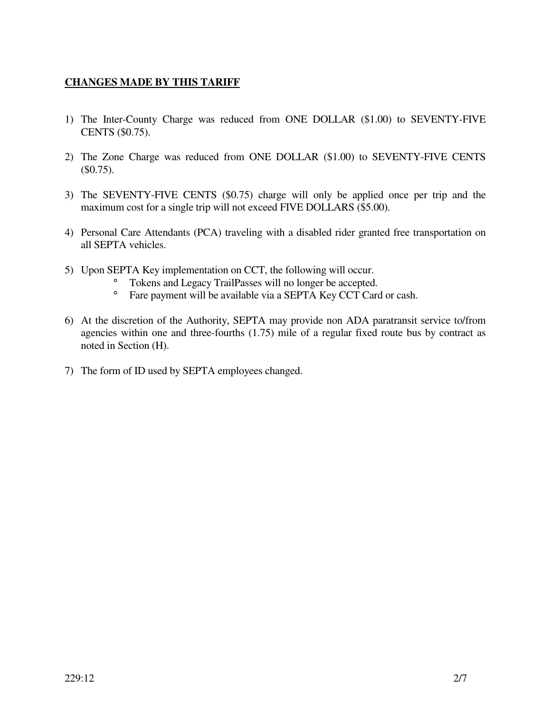## **CHANGES MADE BY THIS TARIFF**

- 1) The Inter-County Charge was reduced from ONE DOLLAR (\$1.00) to SEVENTY-FIVE CENTS (\$0.75).
- 2) The Zone Charge was reduced from ONE DOLLAR (\$1.00) to SEVENTY-FIVE CENTS (\$0.75).
- 3) The SEVENTY-FIVE CENTS (\$0.75) charge will only be applied once per trip and the maximum cost for a single trip will not exceed FIVE DOLLARS (\$5.00).
- 4) Personal Care Attendants (PCA) traveling with a disabled rider granted free transportation on all SEPTA vehicles.
- 5) Upon SEPTA Key implementation on CCT, the following will occur.
	- ° Tokens and Legacy TrailPasses will no longer be accepted.
	- ° Fare payment will be available via a SEPTA Key CCT Card or cash.
- 6) At the discretion of the Authority, SEPTA may provide non ADA paratransit service to/from agencies within one and three-fourths (1.75) mile of a regular fixed route bus by contract as noted in Section (H).
- 7) The form of ID used by SEPTA employees changed.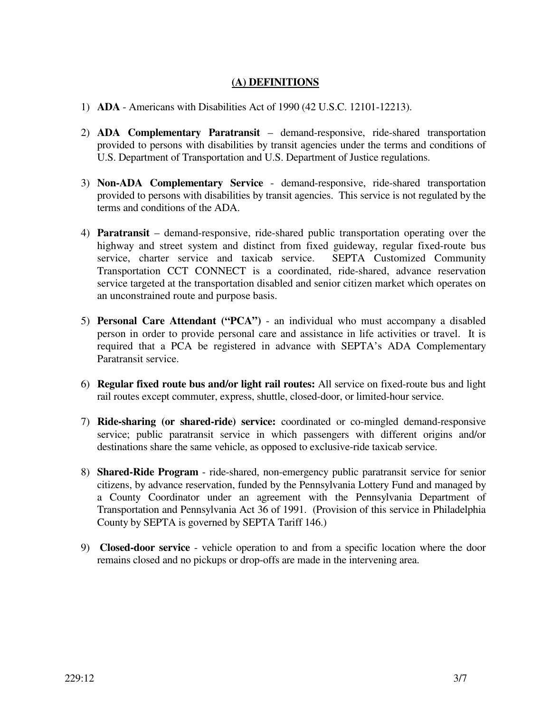## **(A) DEFINITIONS**

- 1) **ADA**  Americans with Disabilities Act of 1990 (42 U.S.C. 12101-12213).
- 2) **ADA Complementary Paratransit** demand-responsive, ride-shared transportation provided to persons with disabilities by transit agencies under the terms and conditions of U.S. Department of Transportation and U.S. Department of Justice regulations.
- 3) **Non-ADA Complementary Service**  demand-responsive, ride-shared transportation provided to persons with disabilities by transit agencies. This service is not regulated by the terms and conditions of the ADA.
- 4) **Paratransit**  demand-responsive, ride-shared public transportation operating over the highway and street system and distinct from fixed guideway, regular fixed-route bus service, charter service and taxicab service. SEPTA Customized Community Transportation CCT CONNECT is a coordinated, ride-shared, advance reservation service targeted at the transportation disabled and senior citizen market which operates on an unconstrained route and purpose basis.
- 5) **Personal Care Attendant ("PCA")**  an individual who must accompany a disabled person in order to provide personal care and assistance in life activities or travel. It is required that a PCA be registered in advance with SEPTA's ADA Complementary Paratransit service.
- 6) **Regular fixed route bus and/or light rail routes:** All service on fixed-route bus and light rail routes except commuter, express, shuttle, closed-door, or limited-hour service.
- 7) **Ride-sharing (or shared-ride) service:** coordinated or co-mingled demand-responsive service; public paratransit service in which passengers with different origins and/or destinations share the same vehicle, as opposed to exclusive-ride taxicab service.
- 8) **Shared-Ride Program** ride-shared, non-emergency public paratransit service for senior citizens, by advance reservation, funded by the Pennsylvania Lottery Fund and managed by a County Coordinator under an agreement with the Pennsylvania Department of Transportation and Pennsylvania Act 36 of 1991. (Provision of this service in Philadelphia County by SEPTA is governed by SEPTA Tariff 146.)
- 9) **Closed-door service**  vehicle operation to and from a specific location where the door remains closed and no pickups or drop-offs are made in the intervening area.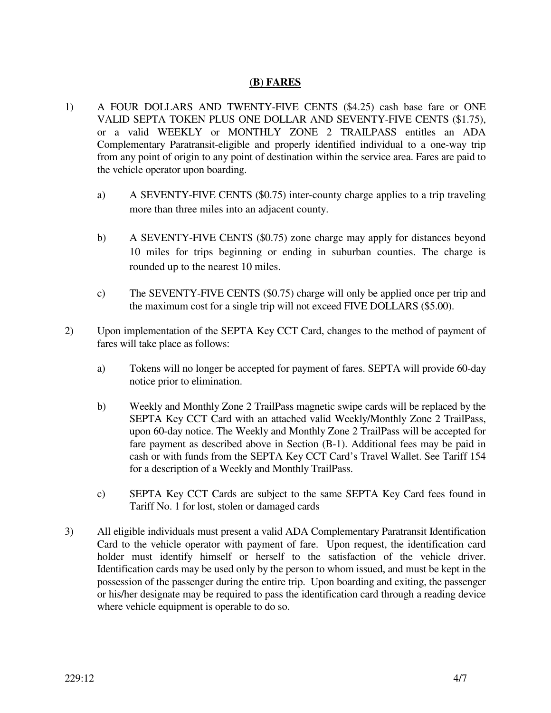## **(B) FARES**

- 1) A FOUR DOLLARS AND TWENTY-FIVE CENTS (\$4.25) cash base fare or ONE VALID SEPTA TOKEN PLUS ONE DOLLAR AND SEVENTY-FIVE CENTS (\$1.75), or a valid WEEKLY or MONTHLY ZONE 2 TRAILPASS entitles an ADA Complementary Paratransit-eligible and properly identified individual to a one-way trip from any point of origin to any point of destination within the service area. Fares are paid to the vehicle operator upon boarding.
	- a) A SEVENTY-FIVE CENTS (\$0.75) inter-county charge applies to a trip traveling more than three miles into an adjacent county.
	- b) A SEVENTY-FIVE CENTS (\$0.75) zone charge may apply for distances beyond 10 miles for trips beginning or ending in suburban counties. The charge is rounded up to the nearest 10 miles.
	- c) The SEVENTY-FIVE CENTS (\$0.75) charge will only be applied once per trip and the maximum cost for a single trip will not exceed FIVE DOLLARS (\$5.00).
- 2) Upon implementation of the SEPTA Key CCT Card, changes to the method of payment of fares will take place as follows:
	- a) Tokens will no longer be accepted for payment of fares. SEPTA will provide 60-day notice prior to elimination.
	- b) Weekly and Monthly Zone 2 TrailPass magnetic swipe cards will be replaced by the SEPTA Key CCT Card with an attached valid Weekly/Monthly Zone 2 TrailPass, upon 60-day notice. The Weekly and Monthly Zone 2 TrailPass will be accepted for fare payment as described above in Section (B-1). Additional fees may be paid in cash or with funds from the SEPTA Key CCT Card's Travel Wallet. See Tariff 154 for a description of a Weekly and Monthly TrailPass.
	- c) SEPTA Key CCT Cards are subject to the same SEPTA Key Card fees found in Tariff No. 1 for lost, stolen or damaged cards
- 3) All eligible individuals must present a valid ADA Complementary Paratransit Identification Card to the vehicle operator with payment of fare. Upon request, the identification card holder must identify himself or herself to the satisfaction of the vehicle driver. Identification cards may be used only by the person to whom issued, and must be kept in the possession of the passenger during the entire trip. Upon boarding and exiting, the passenger or his/her designate may be required to pass the identification card through a reading device where vehicle equipment is operable to do so.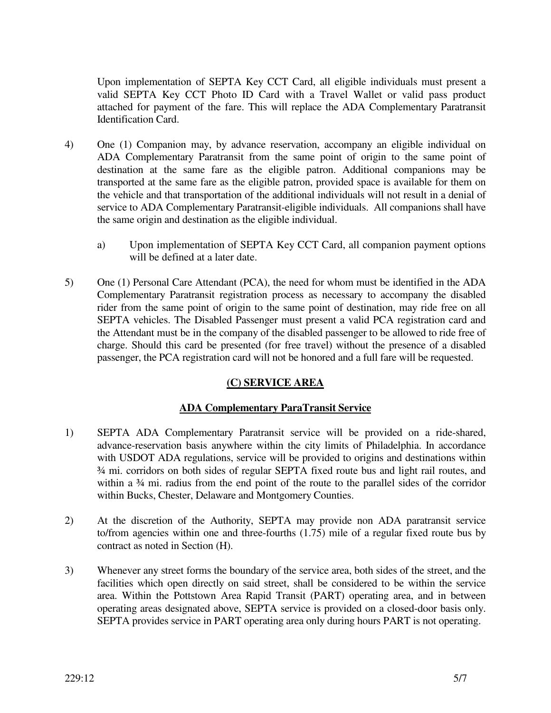Upon implementation of SEPTA Key CCT Card, all eligible individuals must present a valid SEPTA Key CCT Photo ID Card with a Travel Wallet or valid pass product attached for payment of the fare. This will replace the ADA Complementary Paratransit Identification Card.

- 4) One (1) Companion may, by advance reservation, accompany an eligible individual on ADA Complementary Paratransit from the same point of origin to the same point of destination at the same fare as the eligible patron. Additional companions may be transported at the same fare as the eligible patron, provided space is available for them on the vehicle and that transportation of the additional individuals will not result in a denial of service to ADA Complementary Paratransit-eligible individuals. All companions shall have the same origin and destination as the eligible individual.
	- a) Upon implementation of SEPTA Key CCT Card, all companion payment options will be defined at a later date.
- 5) One (1) Personal Care Attendant (PCA), the need for whom must be identified in the ADA Complementary Paratransit registration process as necessary to accompany the disabled rider from the same point of origin to the same point of destination, may ride free on all SEPTA vehicles. The Disabled Passenger must present a valid PCA registration card and the Attendant must be in the company of the disabled passenger to be allowed to ride free of charge. Should this card be presented (for free travel) without the presence of a disabled passenger, the PCA registration card will not be honored and a full fare will be requested.

## **(C) SERVICE AREA**

## **ADA Complementary ParaTransit Service**

- 1) SEPTA ADA Complementary Paratransit service will be provided on a ride-shared, advance-reservation basis anywhere within the city limits of Philadelphia. In accordance with USDOT ADA regulations, service will be provided to origins and destinations within ¾ mi. corridors on both sides of regular SEPTA fixed route bus and light rail routes, and within a  $\frac{3}{4}$  mi. radius from the end point of the route to the parallel sides of the corridor within Bucks, Chester, Delaware and Montgomery Counties.
- 2) At the discretion of the Authority, SEPTA may provide non ADA paratransit service to/from agencies within one and three-fourths (1.75) mile of a regular fixed route bus by contract as noted in Section (H).
- 3) Whenever any street forms the boundary of the service area, both sides of the street, and the facilities which open directly on said street, shall be considered to be within the service area. Within the Pottstown Area Rapid Transit (PART) operating area, and in between operating areas designated above, SEPTA service is provided on a closed-door basis only. SEPTA provides service in PART operating area only during hours PART is not operating.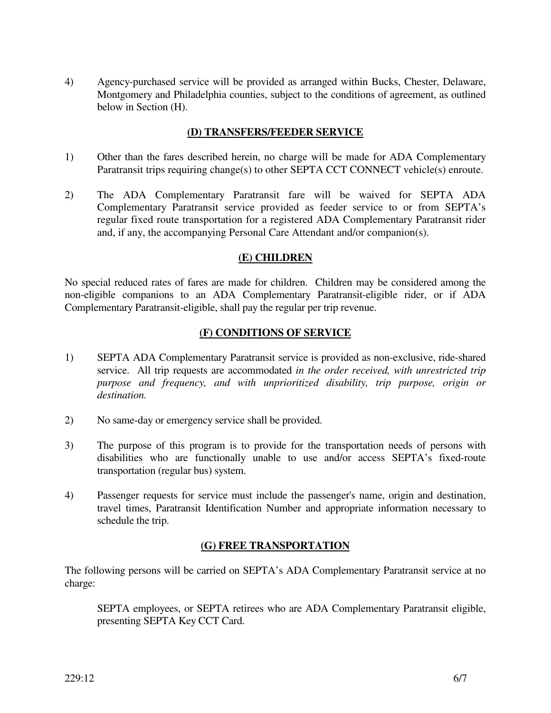4) Agency-purchased service will be provided as arranged within Bucks, Chester, Delaware, Montgomery and Philadelphia counties, subject to the conditions of agreement, as outlined below in Section (H).

#### **(D) TRANSFERS/FEEDER SERVICE**

- 1) Other than the fares described herein, no charge will be made for ADA Complementary Paratransit trips requiring change(s) to other SEPTA CCT CONNECT vehicle(s) enroute.
- 2) The ADA Complementary Paratransit fare will be waived for SEPTA ADA Complementary Paratransit service provided as feeder service to or from SEPTA's regular fixed route transportation for a registered ADA Complementary Paratransit rider and, if any, the accompanying Personal Care Attendant and/or companion(s).

#### **(E) CHILDREN**

No special reduced rates of fares are made for children. Children may be considered among the non-eligible companions to an ADA Complementary Paratransit-eligible rider, or if ADA Complementary Paratransit-eligible, shall pay the regular per trip revenue.

## **(F) CONDITIONS OF SERVICE**

- 1) SEPTA ADA Complementary Paratransit service is provided as non-exclusive, ride-shared service. All trip requests are accommodated *in the order received, with unrestricted trip purpose and frequency, and with unprioritized disability, trip purpose, origin or destination.*
- 2) No same-day or emergency service shall be provided.
- 3) The purpose of this program is to provide for the transportation needs of persons with disabilities who are functionally unable to use and/or access SEPTA's fixed-route transportation (regular bus) system.
- 4) Passenger requests for service must include the passenger's name, origin and destination, travel times, Paratransit Identification Number and appropriate information necessary to schedule the trip.

## **(G) FREE TRANSPORTATION**

The following persons will be carried on SEPTA's ADA Complementary Paratransit service at no charge:

 SEPTA employees, or SEPTA retirees who are ADA Complementary Paratransit eligible, presenting SEPTA Key CCT Card.